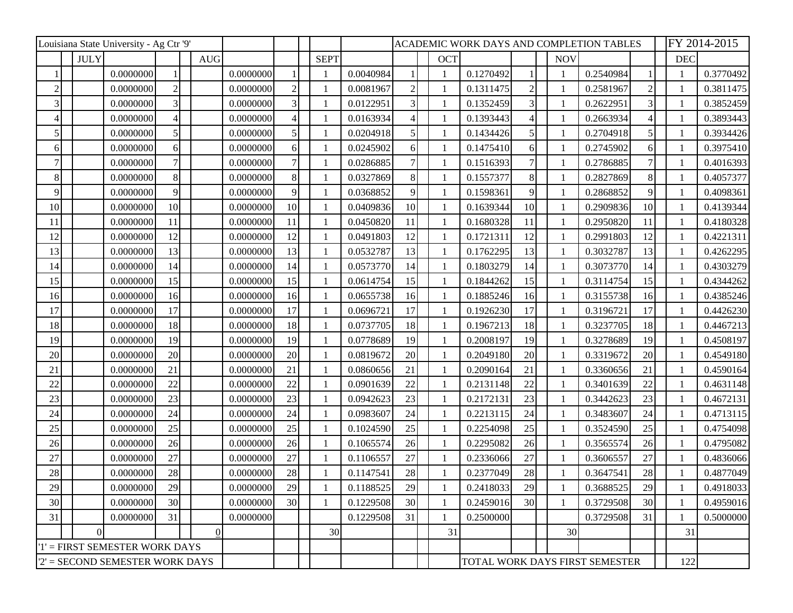| Louisiana State University - Ag Ctr '9' |             |           |                   |  |            |           |                |              | ACADEMIC WORK DAYS AND COMPLETION TABLES |                |              |                                |               |              | FY 2014-2015 |    |            |           |
|-----------------------------------------|-------------|-----------|-------------------|--|------------|-----------|----------------|--------------|------------------------------------------|----------------|--------------|--------------------------------|---------------|--------------|--------------|----|------------|-----------|
|                                         | <b>JULY</b> |           |                   |  | <b>AUG</b> |           |                | <b>SEPT</b>  |                                          |                | <b>OCT</b>   |                                |               | <b>NOV</b>   |              |    | <b>DEC</b> |           |
|                                         |             | 0.0000000 |                   |  |            | 0.0000000 |                |              | 0.0040984                                |                | $\mathbf{1}$ | 0.1270492                      |               |              | 0.2540984    |    |            | 0.3770492 |
| $\overline{2}$                          |             | 0.0000000 | $\overline{2}$    |  |            | 0.0000000 |                |              | 0.0081967                                | $\overline{2}$ | 1            | 0.1311475                      | $\mathcal{D}$ |              | 0.2581967    |    |            | 0.3811475 |
| $\mathfrak{Z}$                          |             | 0.0000000 | $\overline{3}$    |  |            | 0.0000000 | 3 <sup>1</sup> |              | 0.0122951                                | 3              | 1            | 0.1352459                      |               |              | 0.2622951    |    |            | 0.3852459 |
|                                         |             | 0.0000000 | $\overline{4}$    |  |            | 0.0000000 |                |              | 0.0163934                                |                | 1            | 0.1393443                      |               |              | 0.2663934    |    |            | 0.3893443 |
| 5                                       |             | 0.0000000 | $\vert 5 \vert$   |  |            | 0.0000000 | $\mathfrak{H}$ |              | 0.0204918                                | 5              | $\mathbf{1}$ | 0.1434426                      |               |              | 0.2704918    | 5  |            | 0.3934426 |
| 6                                       |             | 0.0000000 | $\vert 6 \vert$   |  |            | 0.0000000 | 61             |              | 0.0245902                                | 6              | 1            | 0.1475410                      | 6             |              | 0.2745902    | 6  |            | 0.3975410 |
|                                         |             | 0.0000000 | 7                 |  |            | 0.0000000 |                |              | 0.0286885                                | 7              |              | 0.1516393                      |               |              | 0.2786885    |    |            | 0.4016393 |
| $\,8$                                   |             | 0.0000000 | $\lvert 8 \rvert$ |  |            | 0.0000000 | 8              |              | 0.0327869                                | 8              | $\mathbf{1}$ | 0.1557377                      | 8             |              | 0.2827869    | 8  |            | 0.4057377 |
| 9                                       |             | 0.0000000 | 9                 |  |            | 0.0000000 | 9              |              | 0.0368852                                | 9              | -1           | 0.1598361                      | q             |              | 0.2868852    | 9  |            | 0.4098361 |
| 10                                      |             | 0.0000000 | 10 <sup>1</sup>   |  |            | 0.0000000 | 10             |              | 0.0409836                                | 10             | 1            | 0.1639344                      | 10            |              | 0.2909836    | 10 |            | 0.4139344 |
| 11                                      |             | 0.0000000 | 11                |  |            | 0.0000000 | 11             |              | 0.0450820                                | 11             | 1            | 0.1680328                      | 11            |              | 0.2950820    | 11 |            | 0.4180328 |
| 12                                      |             | 0.0000000 | 12                |  |            | 0.0000000 | 12             |              | 0.0491803                                | 12             | 1            | 0.1721311                      | 12            |              | 0.2991803    | 12 |            | 0.4221311 |
| 13                                      |             | 0.0000000 | 13                |  |            | 0.0000000 | 13             |              | 0.0532787                                | 13             | 1            | 0.1762295                      | 13            |              | 0.3032787    | 13 |            | 0.4262295 |
| 14                                      |             | 0.0000000 | 14                |  |            | 0.0000000 | 14             |              | 0.0573770                                | 14             | 1            | 0.1803279                      | 14            |              | 0.3073770    | 14 |            | 0.4303279 |
| 15                                      |             | 0.0000000 | 15                |  |            | 0.0000000 | 15             |              | 0.0614754                                | 15             | 1            | 0.1844262                      | 15            |              | 0.3114754    | 15 |            | 0.4344262 |
| 16                                      |             | 0.0000000 | 16                |  |            | 0.0000000 | 16             |              | 0.0655738                                | 16             | 1            | 0.1885246                      | 16            |              | 0.3155738    | 16 |            | 0.4385246 |
| 17                                      |             | 0.0000000 | 17                |  |            | 0.0000000 | 17             |              | 0.0696721                                | 17             |              | 0.1926230                      | 17            |              | 0.3196721    | 17 |            | 0.4426230 |
| 18                                      |             | 0.0000000 | 18                |  |            | 0.0000000 | 18             |              | 0.0737705                                | 18             | $\mathbf{1}$ | 0.1967213                      | 18            |              | 0.3237705    | 18 |            | 0.4467213 |
| 19                                      |             | 0.0000000 | 19                |  |            | 0.0000000 | 19             |              | 0.0778689                                | 19             | 1            | 0.2008197                      | 19            |              | 0.3278689    | 19 |            | 0.4508197 |
| 20                                      |             | 0.0000000 | 20                |  |            | 0.0000000 | 20             |              | 0.0819672                                | 20             | $\mathbf{1}$ | 0.2049180                      | 20            |              | 0.3319672    | 20 |            | 0.4549180 |
| 21                                      |             | 0.0000000 | 21                |  |            | 0.0000000 | 21             |              | 0.0860656                                | 21             | $\mathbf{1}$ | 0.2090164                      | 21            |              | 0.3360656    | 21 |            | 0.4590164 |
| 22                                      |             | 0.0000000 | 22                |  |            | 0.0000000 | 22             |              | 0.0901639                                | 22             | 1            | 0.2131148                      | 22            |              | 0.3401639    | 22 |            | 0.4631148 |
| 23                                      |             | 0.0000000 | 23                |  |            | 0.0000000 | 23             |              | 0.0942623                                | 23             | $\mathbf{1}$ | 0.2172131                      | 23            |              | 0.3442623    | 23 |            | 0.4672131 |
| 24                                      |             | 0.0000000 | 24                |  |            | 0.0000000 | 24             |              | 0.0983607                                | 24             | 1            | 0.2213115                      | 24            |              | 0.3483607    | 24 |            | 0.4713115 |
| 25                                      |             | 0.0000000 | 25                |  |            | 0.0000000 | 25             |              | 0.1024590                                | 25             | 1            | 0.2254098                      | 25            |              | 0.3524590    | 25 |            | 0.4754098 |
| 26                                      |             | 0.0000000 | 26                |  |            | 0.0000000 | 26             |              | 0.1065574                                | 26             | 1            | 0.2295082                      | 26            | $\mathbf{1}$ | 0.3565574    | 26 |            | 0.4795082 |
| 27                                      |             | 0.0000000 | 27                |  |            | 0.0000000 | 27             |              | 0.1106557                                | 27             | 1            | 0.2336066                      | 27            |              | 0.3606557    | 27 |            | 0.4836066 |
| 28                                      |             | 0.0000000 | 28                |  |            | 0.0000000 | 28             |              | 0.1147541                                | 28             | 1            | 0.2377049                      | 28            |              | 0.3647541    | 28 |            | 0.4877049 |
| 29                                      |             | 0.0000000 | 29                |  |            | 0.0000000 | 29             |              | 0.1188525                                | 29             |              | 0.2418033                      | 29            |              | 0.3688525    | 29 |            | 0.4918033 |
| 30                                      |             | 0.0000000 | 30                |  |            | 0.0000000 | 30             | $\mathbf{1}$ | 0.1229508                                | 30             | $\mathbf{1}$ | 0.2459016                      | 30            | 1            | 0.3729508    | 30 |            | 0.4959016 |
| 31                                      |             | 0.0000000 | 31                |  |            | 0.0000000 |                |              | 0.1229508                                | 31             |              | 0.2500000                      |               |              | 0.3729508    | 31 |            | 0.5000000 |
|                                         | $\Omega$    |           |                   |  | $\Omega$   |           |                | 30           |                                          |                | 31           |                                |               | 30           |              |    | 31         |           |
| '1' = FIRST SEMESTER WORK DAYS          |             |           |                   |  |            |           |                |              |                                          |                |              |                                |               |              |              |    |            |           |
| $2'$ = SECOND SEMESTER WORK DAYS        |             |           |                   |  |            |           |                |              |                                          |                |              | TOTAL WORK DAYS FIRST SEMESTER |               |              |              |    | 122        |           |